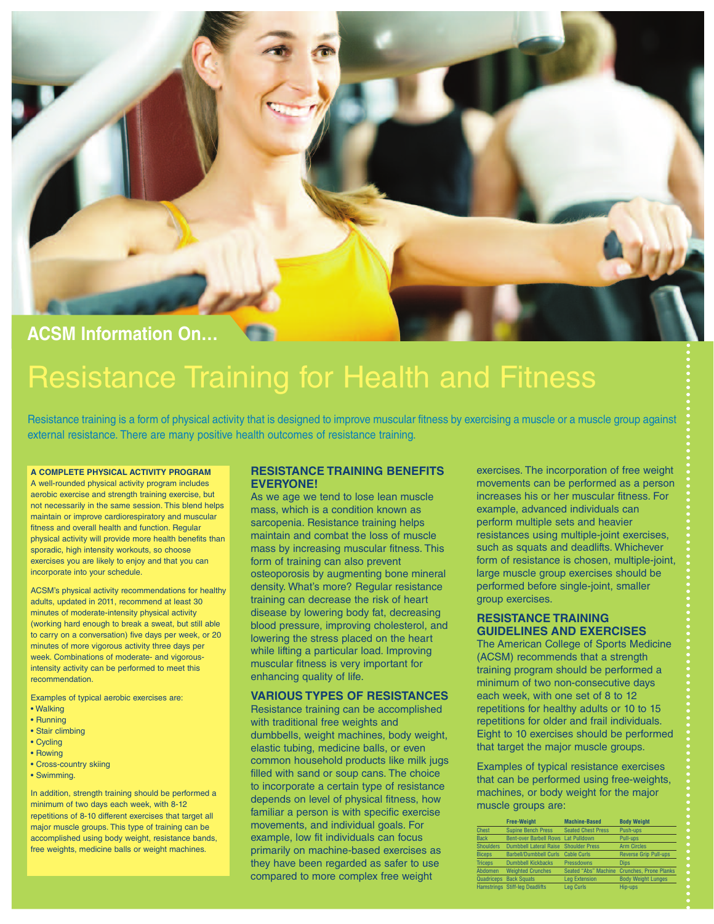

# **ACSM Information On…**

# Resistance Training for Health and Fitness

Resistance training is a form of physical activity that is designed to improve muscular fitness by exercising a muscle or a muscle group against external resistance. There are many positive health outcomes of resistance training.

#### **A COMPLETE PHYSICAL ACTIVITY PROGRAM**

A well-rounded physical activity program includes aerobic exercise and strength training exercise, but not necessarily in the same session. This blend helps maintain or improve cardiorespiratory and muscular fitness and overall health and function. Regular physical activity will provide more health benefits than sporadic, high intensity workouts, so choose exercises you are likely to enjoy and that you can incorporate into your schedule.

ACSM's physical activity recommendations for healthy adults, updated in 2011, recommend at least 30 minutes of moderate-intensity physical activity (working hard enough to break a sweat, but still able to carry on a conversation) five days per week, or 20 minutes of more vigorous activity three days per week. Combinations of moderate- and vigorousintensity activity can be performed to meet this recommendation.

Examples of typical aerobic exercises are:

- Walking
- Running
- Stair climbing
- Cycling
- Rowing
- Cross-country skiing
- Swimming.

In addition, strength training should be performed a minimum of two days each week, with 8-12 repetitions of 8-10 different exercises that target all major muscle groups. This type of training can be accomplished using body weight, resistance bands, free weights, medicine balls or weight machines.

### **RESISTANCE TRAINING BENEFITS EVERYONE!**

As we age we tend to lose lean muscle mass, which is a condition known as sarcopenia. Resistance training helps maintain and combat the loss of muscle mass by increasing muscular fitness. This form of training can also prevent osteoporosis by augmenting bone mineral density. What's more? Regular resistance training can decrease the risk of heart disease by lowering body fat, decreasing blood pressure, improving cholesterol, and lowering the stress placed on the heart while lifting a particular load. Improving muscular fitness is very important for enhancing quality of life.

# **VARIOUS TYPES OF RESISTANCES**

Resistance training can be accomplished with traditional free weights and dumbbells, weight machines, body weight, elastic tubing, medicine balls, or even common household products like milk jugs filled with sand or soup cans. The choice to incorporate a certain type of resistance depends on level of physical fitness, how familiar a person is with specific exercise movements, and individual goals. For example, low fit individuals can focus primarily on machine-based exercises as they have been regarded as safer to use compared to more complex free weight

exercises. The incorporation of free weight movements can be performed as a person increases his or her muscular fitness. For example, advanced individuals can perform multiple sets and heavier resistances using multiple-joint exercises, such as squats and deadlifts. Whichever form of resistance is chosen, multiple-joint, large muscle group exercises should be performed before single-joint, smaller group exercises.

#### **RESISTANCE TRAINING GUIDELINES AND EXERCISES**

The American College of Sports Medicine (ACSM) recommends that a strength training program should be performed a minimum of two non-consecutive days each week, with one set of 8 to 12 repetitions for healthy adults or 10 to 15 repetitions for older and frail individuals. Eight to 10 exercises should be performed that target the major muscle groups.

Examples of typical resistance exercises that can be performed using free-weights, machines, or body weight for the major muscle groups are:

|                  | <b>Free-Weight</b>                    | <b>Machine-Based</b>      | <b>Body Weight</b>            |
|------------------|---------------------------------------|---------------------------|-------------------------------|
| <b>Chest</b>     | <b>Supine Bench Press</b>             | <b>Seated Chest Press</b> | Push-ups                      |
| <b>Back</b>      | Bent-over Barbell Rows Lat Pulldown   |                           | Pull-ups                      |
| <b>Shoulders</b> | Dumbbell Lateral Raise                | <b>Shoulder Press</b>     | <b>Arm Circles</b>            |
| <b>Biceps</b>    | <b>Barbell/Dumbbell Curls</b>         | <b>Cable Curls</b>        | <b>Reverse Grip Pull-ups</b>  |
| <b>Triceps</b>   | <b>Dumbbell Kickbacks</b>             | Pressdowns                | <b>Dips</b>                   |
| Abdomen          | <b>Weighted Crunches</b>              | Seated "Abs" Machine      | <b>Crunches, Prone Planks</b> |
| Quadriceps       | <b>Back Squats</b>                    | <b>Lea Extension</b>      | <b>Body Weight Lunges</b>     |
|                  | <b>Hamstrings Stiff-leg Deadlifts</b> | <b>Lea Curls</b>          | Hip-ups                       |